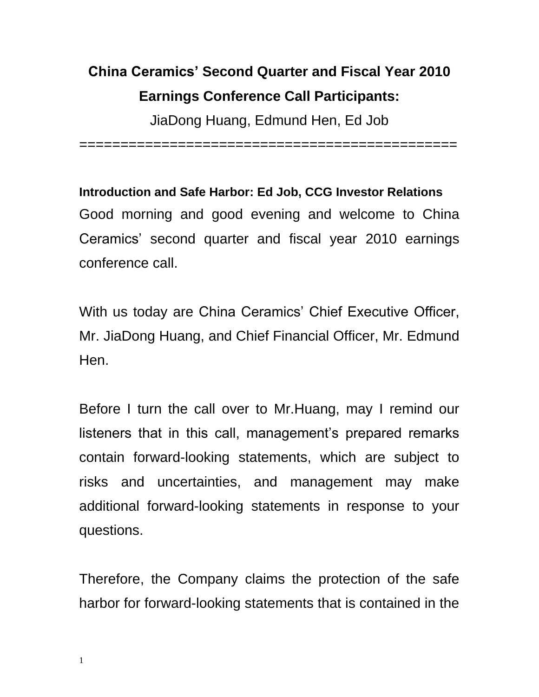## **China Ceramics' Second Quarter and Fiscal Year 2010 Earnings Conference Call Participants:**

JiaDong Huang, Edmund Hen, Ed Job

==============================================

**Introduction and Safe Harbor: Ed Job, CCG Investor Relations** Good morning and good evening and welcome to China Ceramics' second quarter and fiscal year 2010 earnings conference call.

With us today are China Ceramics' Chief Executive Officer, Mr. JiaDong Huang, and Chief Financial Officer, Mr. Edmund Hen.

Before I turn the call over to Mr.Huang, may I remind our listeners that in this call, management's prepared remarks contain forward-looking statements, which are subject to risks and uncertainties, and management may make additional forward-looking statements in response to your questions.

Therefore, the Company claims the protection of the safe harbor for forward-looking statements that is contained in the

1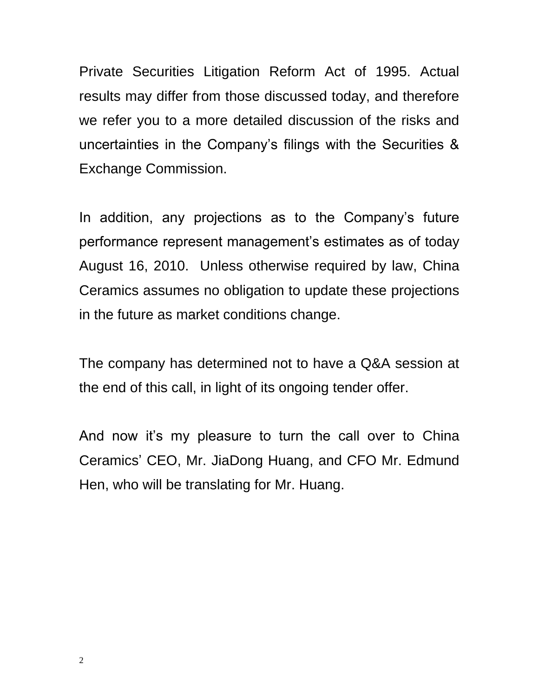Private Securities Litigation Reform Act of 1995. Actual results may differ from those discussed today, and therefore we refer you to a more detailed discussion of the risks and uncertainties in the Company's filings with the Securities & Exchange Commission.

In addition, any projections as to the Company's future performance represent management's estimates as of today August 16, 2010. Unless otherwise required by law, China Ceramics assumes no obligation to update these projections in the future as market conditions change.

The company has determined not to have a Q&A session at the end of this call, in light of its ongoing tender offer.

And now it's my pleasure to turn the call over to China Ceramics' CEO, Mr. JiaDong Huang, and CFO Mr. Edmund Hen, who will be translating for Mr. Huang.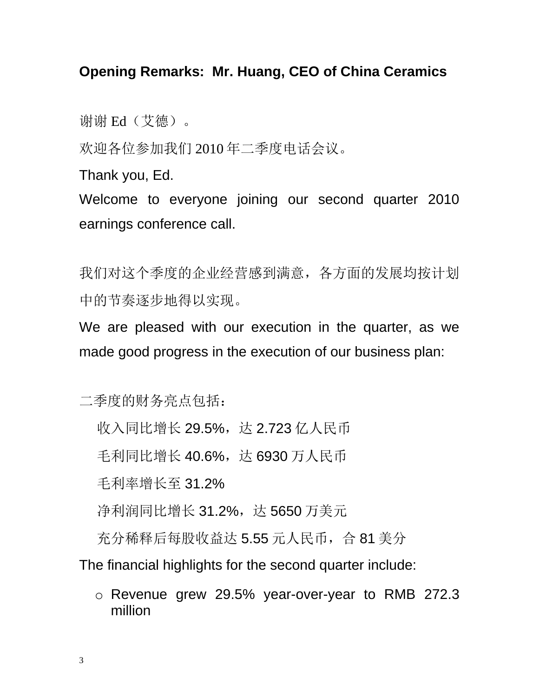## **Opening Remarks: Mr. Huang, CEO of China Ceramics**

谢谢 Ed(艾德)。

欢迎各位参加我们 2010 年二季度电话会议。

Thank you, Ed.

Welcome to everyone joining our second quarter 2010 earnings conference call.

我们对这个季度的企业经营感到满意,各方面的发展均按计划 中的节奏逐步地得以实现。

We are pleased with our execution in the quarter, as we made good progress in the execution of our business plan:

二季度的财务亮点包括:

收入同比增长 29.5%, 达 2.723 亿人民币

毛利同比增长 40.6%, 达 6930 万人民币

毛利率增长至 31.2%

净利润同比增长 31.2%, 达 5650 万美元

充分稀释后每股收益达 5.55 元人民币, 合 81 美分

The financial highlights for the second quarter include:

o Revenue grew 29.5% year-over-year to RMB 272.3 million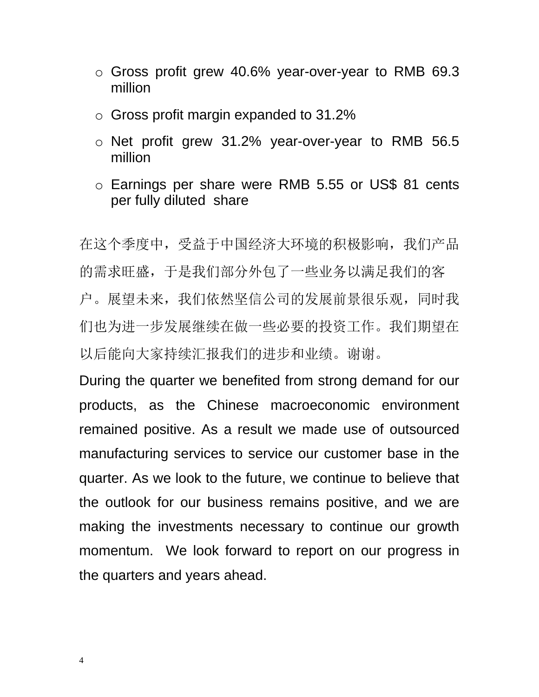- o Gross profit grew 40.6% year-over-year to RMB 69.3 million
- o Gross profit margin expanded to 31.2%
- o Net profit grew 31.2% year-over-year to RMB 56.5 million
- o Earnings per share were RMB 5.55 or US\$ 81 cents per fully diluted share

在这个季度中,受益于中国经济大环境的积极影响,我们产品 的需求旺盛,于是我们部分外包了一些业务以满足我们的客 户。展望未来,我们依然坚信公司的发展前景很乐观,同时我 们也为进一步发展继续在做一些必要的投资工作。我们期望在 以后能向大家持续汇报我们的进步和业绩。谢谢。

During the quarter we benefited from strong demand for our products, as the Chinese macroeconomic environment remained positive. As a result we made use of outsourced manufacturing services to service our customer base in the quarter. As we look to the future, we continue to believe that the outlook for our business remains positive, and we are making the investments necessary to continue our growth momentum. We look forward to report on our progress in the quarters and years ahead.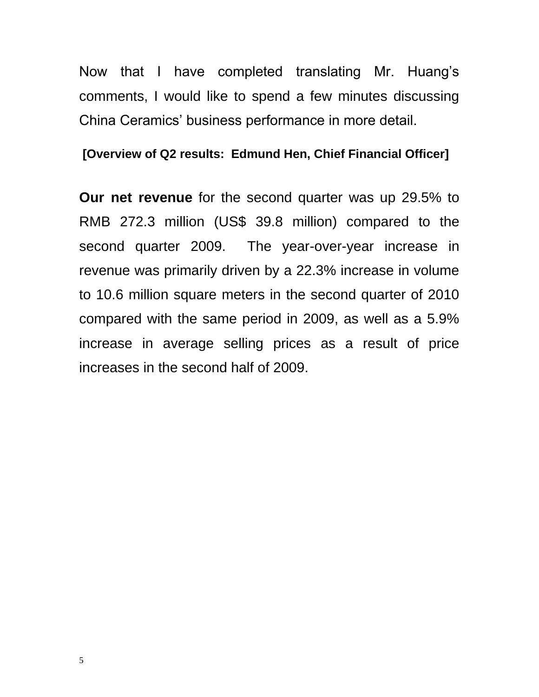Now that I have completed translating Mr. Huang's comments, I would like to spend a few minutes discussing China Ceramics' business performance in more detail.

## **[Overview of Q2 results: Edmund Hen, Chief Financial Officer]**

**Our net revenue** for the second quarter was up 29.5% to RMB 272.3 million (US\$ 39.8 million) compared to the second quarter 2009. The year-over-year increase in revenue was primarily driven by a 22.3% increase in volume to 10.6 million square meters in the second quarter of 2010 compared with the same period in 2009, as well as a 5.9% increase in average selling prices as a result of price increases in the second half of 2009.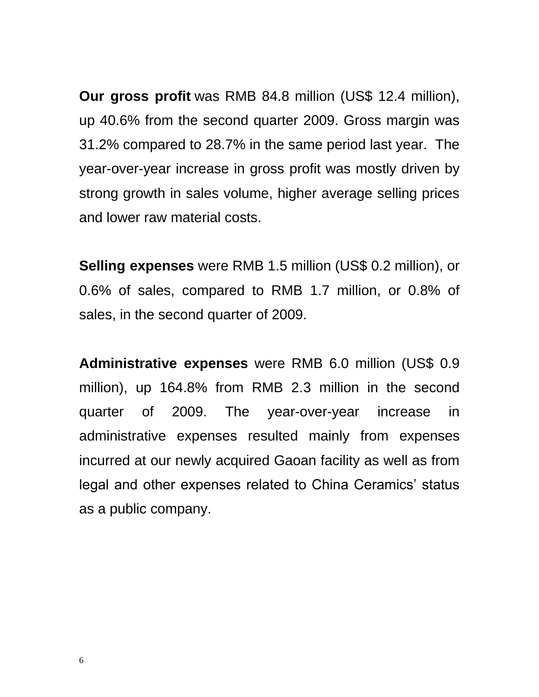**Our gross profit** was RMB 84.8 million (US\$ 12.4 million), up 40.6% from the second quarter 2009. Gross margin was 31.2% compared to 28.7% in the same period last year. The year-over-year increase in gross profit was mostly driven by strong growth in sales volume, higher average selling prices and lower raw material costs.

**Selling expenses** were RMB 1.5 million (US\$ 0.2 million), or 0.6% of sales, compared to RMB 1.7 million, or 0.8% of sales, in the second quarter of 2009.

**Administrative expenses** were RMB 6.0 million (US\$ 0.9 million), up 164.8% from RMB 2.3 million in the second quarter of 2009. The year-over-year increase in administrative expenses resulted mainly from expenses incurred at our newly acquired Gaoan facility as well as from legal and other expenses related to China Ceramics' status as a public company.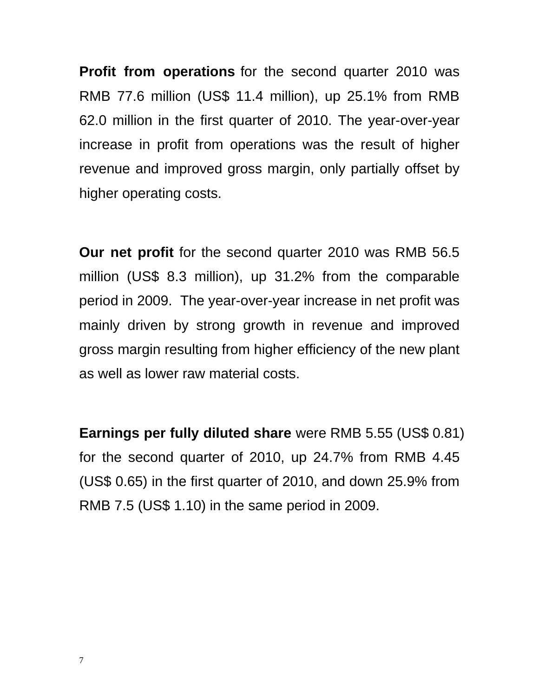**Profit from operations** for the second quarter 2010 was RMB 77.6 million (US\$ 11.4 million), up 25.1% from RMB 62.0 million in the first quarter of 2010. The year-over-year increase in profit from operations was the result of higher revenue and improved gross margin, only partially offset by higher operating costs.

**Our net profit** for the second quarter 2010 was RMB 56.5 million (US\$ 8.3 million), up 31.2% from the comparable period in 2009. The year-over-year increase in net profit was mainly driven by strong growth in revenue and improved gross margin resulting from higher efficiency of the new plant as well as lower raw material costs.

**Earnings per fully diluted share** were RMB 5.55 (US\$ 0.81) for the second quarter of 2010, up 24.7% from RMB 4.45 (US\$ 0.65) in the first quarter of 2010, and down 25.9% from RMB 7.5 (US\$ 1.10) in the same period in 2009.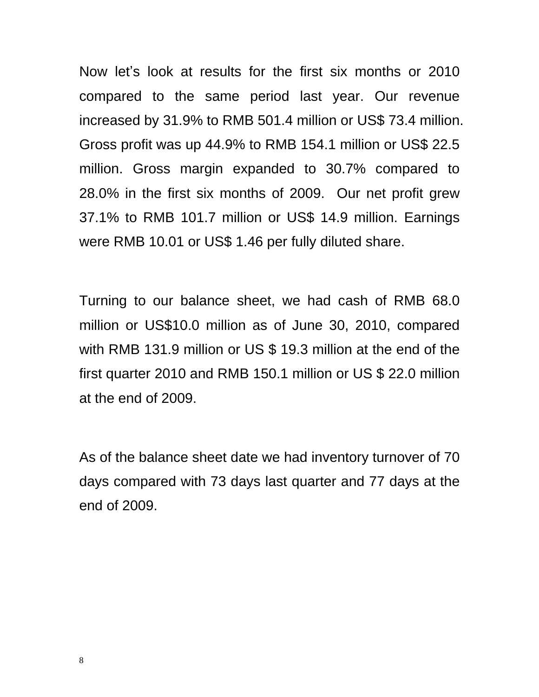Now let's look at results for the first six months or 2010 compared to the same period last year. Our revenue increased by 31.9% to RMB 501.4 million or US\$ 73.4 million. Gross profit was up 44.9% to RMB 154.1 million or US\$ 22.5 million. Gross margin expanded to 30.7% compared to 28.0% in the first six months of 2009. Our net profit grew 37.1% to RMB 101.7 million or US\$ 14.9 million. Earnings were RMB 10.01 or US\$ 1.46 per fully diluted share.

Turning to our balance sheet, we had cash of RMB 68.0 million or US\$10.0 million as of June 30, 2010, compared with RMB 131.9 million or US \$ 19.3 million at the end of the first quarter 2010 and RMB 150.1 million or US \$ 22.0 million at the end of 2009.

As of the balance sheet date we had inventory turnover of 70 days compared with 73 days last quarter and 77 days at the end of 2009.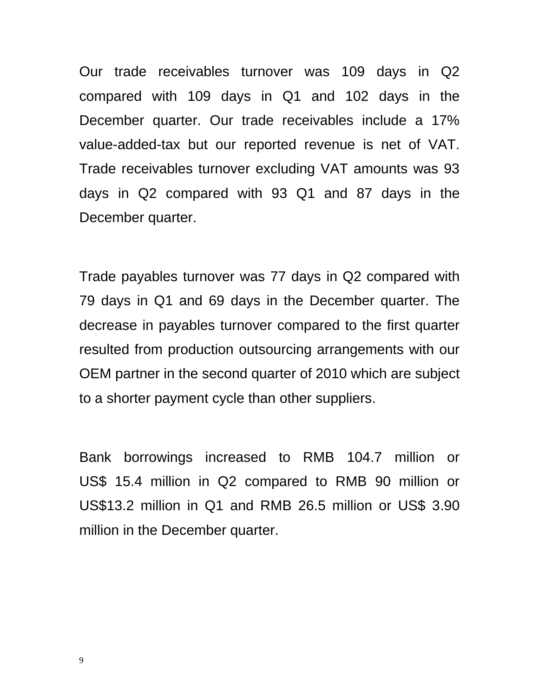Our trade receivables turnover was 109 days in Q2 compared with 109 days in Q1 and 102 days in the December quarter. Our trade receivables include a 17% value-added-tax but our reported revenue is net of VAT. Trade receivables turnover excluding VAT amounts was 93 days in Q2 compared with 93 Q1 and 87 days in the December quarter.

Trade payables turnover was 77 days in Q2 compared with 79 days in Q1 and 69 days in the December quarter. The decrease in payables turnover compared to the first quarter resulted from production outsourcing arrangements with our OEM partner in the second quarter of 2010 which are subject to a shorter payment cycle than other suppliers.

Bank borrowings increased to RMB 104.7 million or US\$ 15.4 million in Q2 compared to RMB 90 million or US\$13.2 million in Q1 and RMB 26.5 million or US\$ 3.90 million in the December quarter.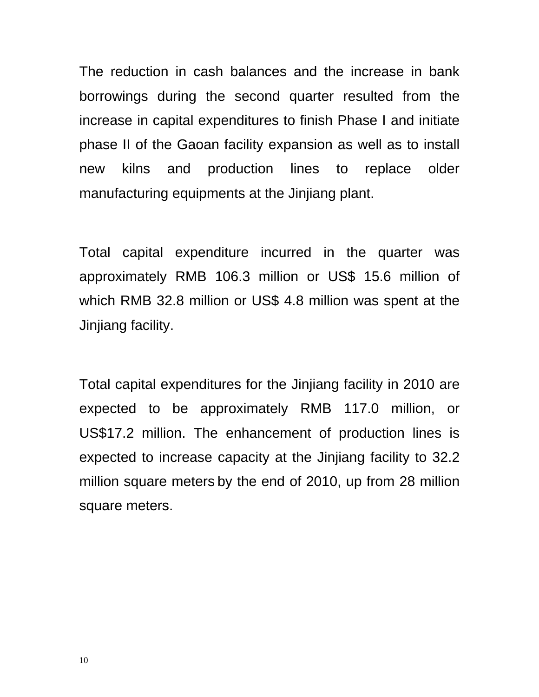The reduction in cash balances and the increase in bank borrowings during the second quarter resulted from the increase in capital expenditures to finish Phase I and initiate phase II of the Gaoan facility expansion as well as to install new kilns and production lines to replace older manufacturing equipments at the Jinjiang plant.

Total capital expenditure incurred in the quarter was approximately RMB 106.3 million or US\$ 15.6 million of which RMB 32.8 million or US\$ 4.8 million was spent at the Jinjiang facility.

Total capital expenditures for the Jinjiang facility in 2010 are expected to be approximately RMB 117.0 million, or US\$17.2 million. The enhancement of production lines is expected to increase capacity at the Jinjiang facility to 32.2 million square meters by the end of 2010, up from 28 million square meters.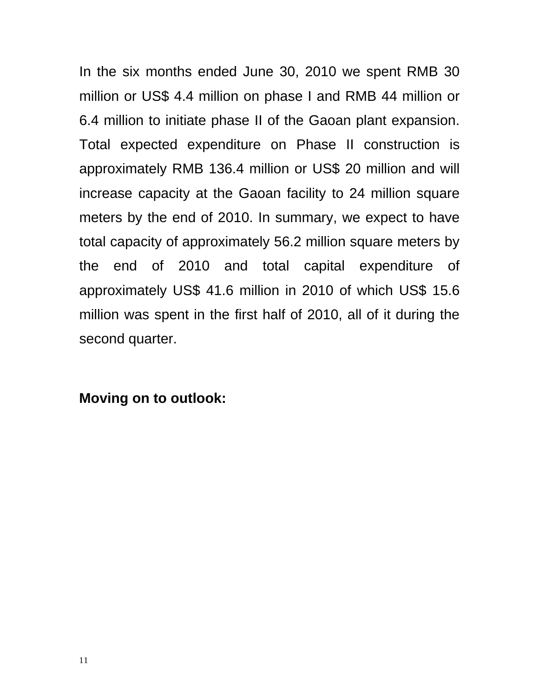In the six months ended June 30, 2010 we spent RMB 30 million or US\$ 4.4 million on phase I and RMB 44 million or 6.4 million to initiate phase II of the Gaoan plant expansion. Total expected expenditure on Phase II construction is approximately RMB 136.4 million or US\$ 20 million and will increase capacity at the Gaoan facility to 24 million square meters by the end of 2010. In summary, we expect to have total capacity of approximately 56.2 million square meters by the end of 2010 and total capital expenditure of approximately US\$ 41.6 million in 2010 of which US\$ 15.6 million was spent in the first half of 2010, all of it during the second quarter.

**Moving on to outlook:**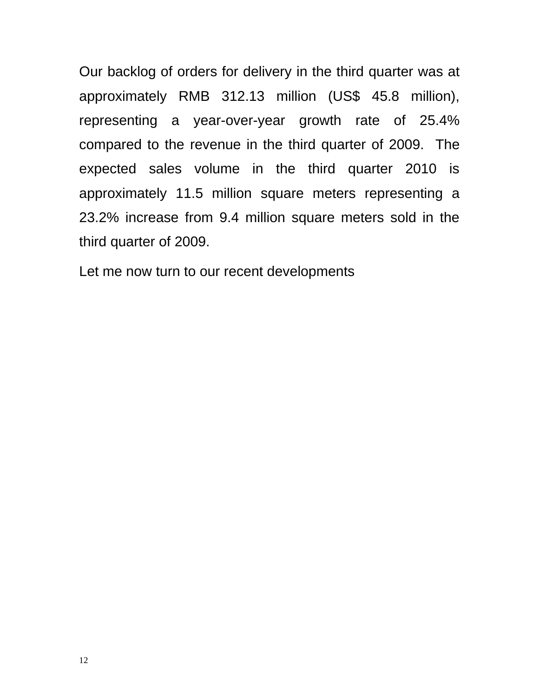Our backlog of orders for delivery in the third quarter was at approximately RMB 312.13 million (US\$ 45.8 million), representing a year-over-year growth rate of 25.4% compared to the revenue in the third quarter of 2009. The expected sales volume in the third quarter 2010 is approximately 11.5 million square meters representing a 23.2% increase from 9.4 million square meters sold in the third quarter of 2009.

Let me now turn to our recent developments